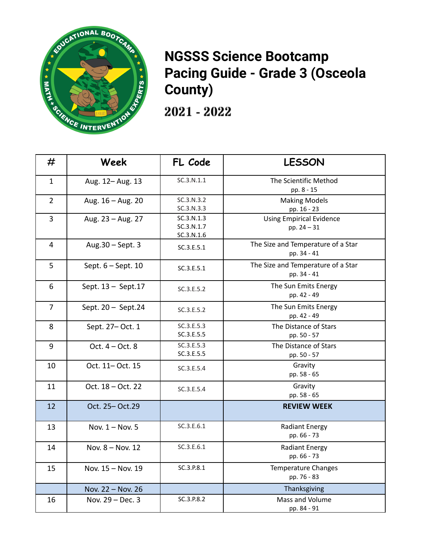

## **NGSSS Science Bootcamp Pacing Guide - Grade 3 (Osceola County)**

2021 - 2022

| #              | Week                | FL Code                                | <b>LESSON</b>                                     |
|----------------|---------------------|----------------------------------------|---------------------------------------------------|
| $\mathbf{1}$   | Aug. 12-Aug. 13     | SC.3.N.1.1                             | The Scientific Method<br>pp. 8 - 15               |
| $\overline{2}$ | Aug. 16 - Aug. 20   | SC.3.N.3.2<br>SC.3.N.3.3               | <b>Making Models</b><br>pp. 16 - 23               |
| $\overline{3}$ | Aug. 23 - Aug. 27   | SC.3.N.1.3<br>SC.3.N.1.7<br>SC.3.N.1.6 | <b>Using Empirical Evidence</b><br>pp. $24 - 31$  |
| $\overline{4}$ | Aug.30 - Sept. 3    | SC.3.E.5.1                             | The Size and Temperature of a Star<br>pp. 34 - 41 |
| 5              | Sept. 6 - Sept. 10  | SC.3.E.5.1                             | The Size and Temperature of a Star<br>pp. 34 - 41 |
| 6              | Sept. 13 - Sept. 17 | SC.3.E.5.2                             | The Sun Emits Energy<br>pp. 42 - 49               |
| $\overline{7}$ | Sept. 20 - Sept.24  | SC.3.E.5.2                             | The Sun Emits Energy<br>pp. 42 - 49               |
| 8              | Sept. 27- Oct. 1    | SC.3.E.5.3<br>SC.3.E.5.5               | The Distance of Stars<br>pp. 50 - 57              |
| 9              | Oct. $4 - Oct. 8$   | SC.3.E.5.3<br>SC.3.E.5.5               | The Distance of Stars<br>pp. 50 - 57              |
| 10             | Oct. 11-Oct. 15     | SC.3.E.5.4                             | Gravity<br>pp. 58 - 65                            |
| 11             | Oct. 18 - Oct. 22   | SC.3.E.5.4                             | Gravity<br>pp. 58 - 65                            |
| 12             | Oct. 25-Oct.29      |                                        | <b>REVIEW WEEK</b>                                |
| 13             | Nov. 1 - Nov. 5     | SC.3.E.6.1                             | <b>Radiant Energy</b><br>pp. 66 - 73              |
| 14             | Nov. 8 - Nov. 12    | SC.3.E.6.1                             | <b>Radiant Energy</b><br>pp. 66 - 73              |
| 15             | Nov. 15 - Nov. 19   | SC.3.P.8.1                             | <b>Temperature Changes</b><br>pp. 76 - 83         |
|                | Nov. 22 - Nov. 26   |                                        | Thanksgiving                                      |
| 16             | Nov. 29 - Dec. 3    | SC.3.P.8.2                             | Mass and Volume<br>pp. 84 - 91                    |